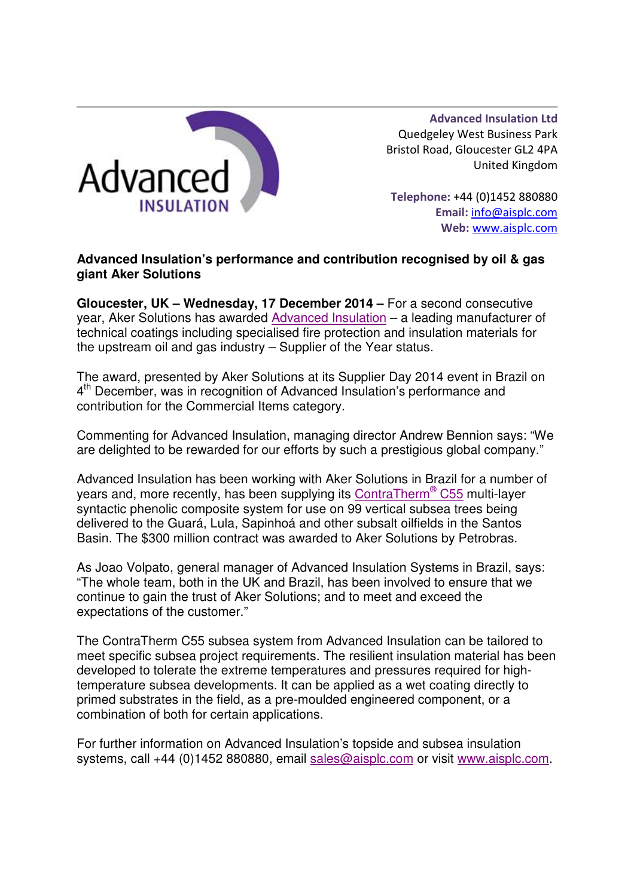

Advanced Insulation Ltd Quedgeley West Business Park Bristol Road, Gloucester GL2 4PA United Kingdom

Telephone: +44 (0)1452 880880 Email: info@aisplc.com Web: www.aisplc.com

## **Advanced Insulation's performance and contribution recognised by oil & gas giant Aker Solutions**

**Gloucester, UK – Wednesday, 17 December 2014 –** For a second consecutive year, Aker Solutions has awarded Advanced Insulation – a leading manufacturer of technical coatings including specialised fire protection and insulation materials for the upstream oil and gas industry – Supplier of the Year status.

The award, presented by Aker Solutions at its Supplier Day 2014 event in Brazil on 4<sup>th</sup> December, was in recognition of Advanced Insulation's performance and contribution for the Commercial Items category.

Commenting for Advanced Insulation, managing director Andrew Bennion says: "We are delighted to be rewarded for our efforts by such a prestigious global company."

Advanced Insulation has been working with Aker Solutions in Brazil for a number of years and, more recently, has been supplying its ContraTherm® C55 multi-layer syntactic phenolic composite system for use on 99 vertical subsea trees being delivered to the Guará, Lula, Sapinhoá and other subsalt oilfields in the Santos Basin. The \$300 million contract was awarded to Aker Solutions by Petrobras.

As Joao Volpato, general manager of Advanced Insulation Systems in Brazil, says: "The whole team, both in the UK and Brazil, has been involved to ensure that we continue to gain the trust of Aker Solutions; and to meet and exceed the expectations of the customer."

The ContraTherm C55 subsea system from Advanced Insulation can be tailored to meet specific subsea project requirements. The resilient insulation material has been developed to tolerate the extreme temperatures and pressures required for hightemperature subsea developments. It can be applied as a wet coating directly to primed substrates in the field, as a pre-moulded engineered component, or a combination of both for certain applications.

For further information on Advanced Insulation's topside and subsea insulation systems, call +44 (0)1452 880880, email sales@aisplc.com or visit www.aisplc.com.